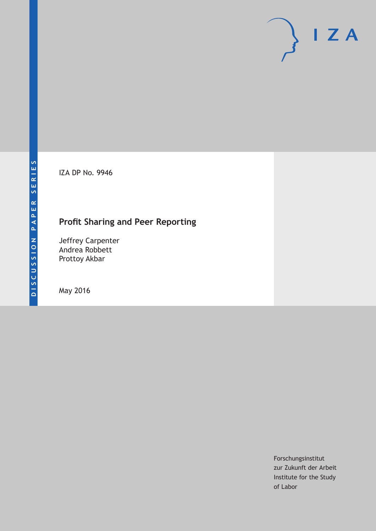IZA DP No. 9946

## **Profit Sharing and Peer Reporting**

Jeffrey Carpenter Andrea Robbett Prottoy Akbar

May 2016

Forschungsinstitut zur Zukunft der Arbeit Institute for the Study of Labor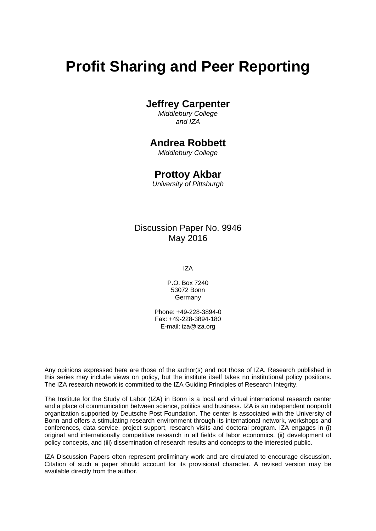# **Profit Sharing and Peer Reporting**

## **Jeffrey Carpenter**

*Middlebury College and IZA* 

## **Andrea Robbett**

*Middlebury College* 

### **Prottoy Akbar**

*University of Pittsburgh*

### Discussion Paper No. 9946 May 2016

IZA

P.O. Box 7240 53072 Bonn Germany

Phone: +49-228-3894-0 Fax: +49-228-3894-180 E-mail: iza@iza.org

Any opinions expressed here are those of the author(s) and not those of IZA. Research published in this series may include views on policy, but the institute itself takes no institutional policy positions. The IZA research network is committed to the IZA Guiding Principles of Research Integrity.

The Institute for the Study of Labor (IZA) in Bonn is a local and virtual international research center and a place of communication between science, politics and business. IZA is an independent nonprofit organization supported by Deutsche Post Foundation. The center is associated with the University of Bonn and offers a stimulating research environment through its international network, workshops and conferences, data service, project support, research visits and doctoral program. IZA engages in (i) original and internationally competitive research in all fields of labor economics, (ii) development of policy concepts, and (iii) dissemination of research results and concepts to the interested public.

IZA Discussion Papers often represent preliminary work and are circulated to encourage discussion. Citation of such a paper should account for its provisional character. A revised version may be available directly from the author.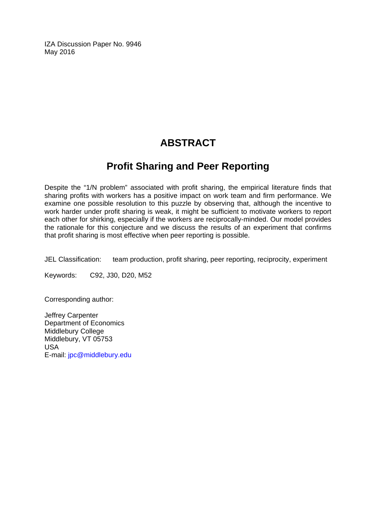IZA Discussion Paper No. 9946 May 2016

## **ABSTRACT**

## **Profit Sharing and Peer Reporting**

Despite the "1/N problem" associated with profit sharing, the empirical literature finds that sharing profits with workers has a positive impact on work team and firm performance. We examine one possible resolution to this puzzle by observing that, although the incentive to work harder under profit sharing is weak, it might be sufficient to motivate workers to report each other for shirking, especially if the workers are reciprocally-minded. Our model provides the rationale for this conjecture and we discuss the results of an experiment that confirms that profit sharing is most effective when peer reporting is possible.

JEL Classification: team production, profit sharing, peer reporting, reciprocity, experiment

Keywords: C92, J30, D20, M52

Corresponding author:

Jeffrey Carpenter Department of Economics Middlebury College Middlebury, VT 05753 USA E-mail: jpc@middlebury.edu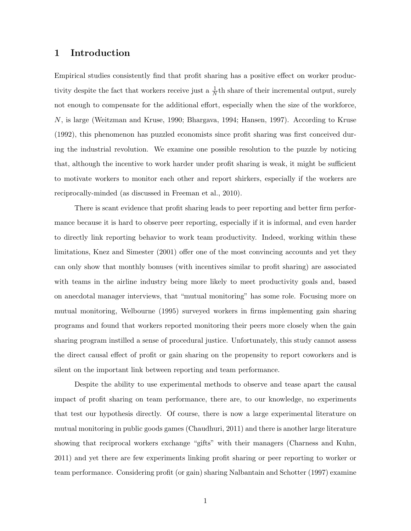#### 1 Introduction

Empirical studies consistently find that profit sharing has a positive effect on worker productivity despite the fact that workers receive just a  $\frac{1}{N}$ th share of their incremental output, surely not enough to compensate for the additional effort, especially when the size of the workforce, N, is large (Weitzman and Kruse, 1990; Bhargava, 1994; Hansen, 1997). According to Kruse (1992), this phenomenon has puzzled economists since profit sharing was first conceived during the industrial revolution. We examine one possible resolution to the puzzle by noticing that, although the incentive to work harder under profit sharing is weak, it might be sufficient to motivate workers to monitor each other and report shirkers, especially if the workers are reciprocally-minded (as discussed in Freeman et al., 2010).

There is scant evidence that profit sharing leads to peer reporting and better firm performance because it is hard to observe peer reporting, especially if it is informal, and even harder to directly link reporting behavior to work team productivity. Indeed, working within these limitations, Knez and Simester (2001) offer one of the most convincing accounts and yet they can only show that monthly bonuses (with incentives similar to profit sharing) are associated with teams in the airline industry being more likely to meet productivity goals and, based on anecdotal manager interviews, that "mutual monitoring" has some role. Focusing more on mutual monitoring, Welbourne (1995) surveyed workers in firms implementing gain sharing programs and found that workers reported monitoring their peers more closely when the gain sharing program instilled a sense of procedural justice. Unfortunately, this study cannot assess the direct causal effect of profit or gain sharing on the propensity to report coworkers and is silent on the important link between reporting and team performance.

Despite the ability to use experimental methods to observe and tease apart the causal impact of profit sharing on team performance, there are, to our knowledge, no experiments that test our hypothesis directly. Of course, there is now a large experimental literature on mutual monitoring in public goods games (Chaudhuri, 2011) and there is another large literature showing that reciprocal workers exchange "gifts" with their managers (Charness and Kuhn, 2011) and yet there are few experiments linking profit sharing or peer reporting to worker or team performance. Considering profit (or gain) sharing Nalbantain and Schotter (1997) examine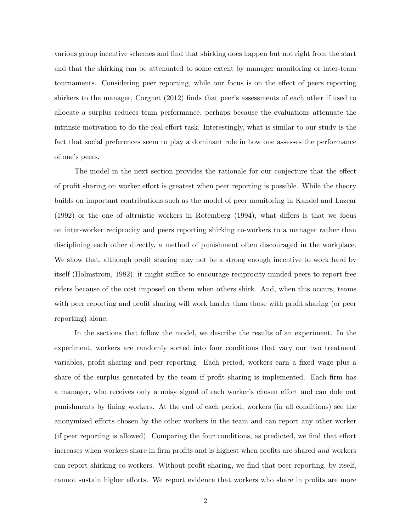various group incentive schemes and find that shirking does happen but not right from the start and that the shirking can be attenuated to some extent by manager monitoring or inter-team tournaments. Considering peer reporting, while our focus is on the effect of peers reporting shirkers to the manager, Corgnet (2012) finds that peer's assessments of each other if used to allocate a surplus reduces team performance, perhaps because the evaluations attenuate the intrinsic motivation to do the real effort task. Interestingly, what is similar to our study is the fact that social preferences seem to play a dominant role in how one assesses the performance of one's peers.

The model in the next section provides the rationale for our conjecture that the effect of profit sharing on worker effort is greatest when peer reporting is possible. While the theory builds on important contributions such as the model of peer monitoring in Kandel and Lazear (1992) or the one of altruistic workers in Rotemberg (1994), what differs is that we focus on inter-worker reciprocity and peers reporting shirking co-workers to a manager rather than disciplining each other directly, a method of punishment often discouraged in the workplace. We show that, although profit sharing may not be a strong enough incentive to work hard by itself (Holmstrom, 1982), it might suffice to encourage reciprocity-minded peers to report free riders because of the cost imposed on them when others shirk. And, when this occurs, teams with peer reporting and profit sharing will work harder than those with profit sharing (or peer reporting) alone.

In the sections that follow the model, we describe the results of an experiment. In the experiment, workers are randomly sorted into four conditions that vary our two treatment variables, profit sharing and peer reporting. Each period, workers earn a fixed wage plus a share of the surplus generated by the team if profit sharing is implemented. Each firm has a manager, who receives only a noisy signal of each worker's chosen effort and can dole out punishments by fining workers. At the end of each period, workers (in all conditions) see the anonymized efforts chosen by the other workers in the team and can report any other worker (if peer reporting is allowed). Comparing the four conditions, as predicted, we find that effort increases when workers share in firm profits and is highest when profits are shared and workers can report shirking co-workers. Without profit sharing, we find that peer reporting, by itself, cannot sustain higher efforts. We report evidence that workers who share in profits are more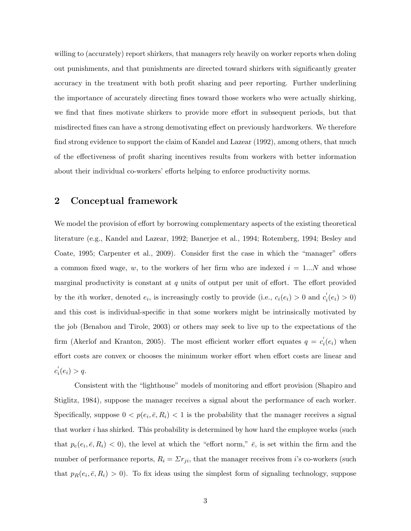willing to (accurately) report shirkers, that managers rely heavily on worker reports when doling out punishments, and that punishments are directed toward shirkers with significantly greater accuracy in the treatment with both profit sharing and peer reporting. Further underlining the importance of accurately directing fines toward those workers who were actually shirking, we find that fines motivate shirkers to provide more effort in subsequent periods, but that misdirected fines can have a strong demotivating effect on previously hardworkers. We therefore find strong evidence to support the claim of Kandel and Lazear (1992), among others, that much of the effectiveness of profit sharing incentives results from workers with better information about their individual co-workers' efforts helping to enforce productivity norms.

#### 2 Conceptual framework

We model the provision of effort by borrowing complementary aspects of the existing theoretical literature (e.g., Kandel and Lazear, 1992; Banerjee et al., 1994; Rotemberg, 1994; Besley and Coate, 1995; Carpenter et al., 2009). Consider first the case in which the "manager" offers a common fixed wage, w, to the workers of her firm who are indexed  $i = 1...N$  and whose marginal productivity is constant at  $q$  units of output per unit of effort. The effort provided by the *i*th worker, denoted  $e_i$ , is increasingly costly to provide (i.e.,  $c_i(e_i) > 0$  and  $c_i'$  $i_i'(e_i) > 0$ and this cost is individual-specific in that some workers might be intrinsically motivated by the job (Benabou and Tirole, 2003) or others may seek to live up to the expectations of the firm (Akerlof and Kranton, 2005). The most efficient worker effort equates  $q = c'_{i}$  $i(e_i)$  when effort costs are convex or chooses the minimum worker effort when effort costs are linear and  $c_i'$  $i_i'(e_i) > q.$ 

Consistent with the "lighthouse" models of monitoring and effort provision (Shapiro and Stiglitz, 1984), suppose the manager receives a signal about the performance of each worker. Specifically, suppose  $0 < p(e_i, \bar{e}, R_i) < 1$  is the probability that the manager receives a signal that worker i has shirked. This probability is determined by how hard the employee works (such that  $p_e(e_i, \bar{e}, R_i) < 0$ , the level at which the "effort norm,"  $\bar{e}$ , is set within the firm and the number of performance reports,  $R_i = \sum r_{ji}$ , that the manager receives from *i*'s co-workers (such that  $p_R(e_i, \bar{e}, R_i) > 0$ . To fix ideas using the simplest form of signaling technology, suppose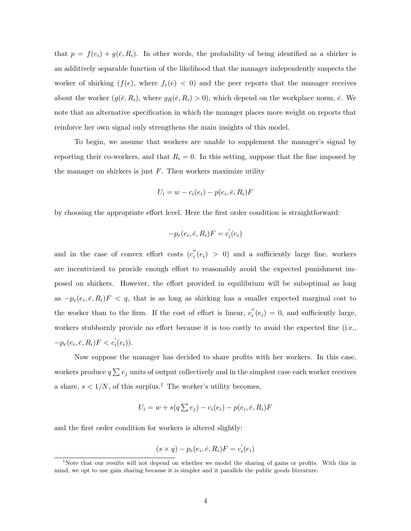that  $p = f(e_i) + g(\bar{e}, R_i)$ . In other words, the probability of being identified as a shirker is an additively separable function of the likelihood that the manager independently suspects the worker of shirking  $(f(e))$ , where  $f_e(e) < 0$  and the peer reports that the manager receives about the worker  $(g(\bar{e}, R_i),$  where  $g_R(\bar{e}, R_i) > 0)$ , which depend on the workplace norm,  $\bar{e}$ . We note that an alternative specification in which the manager places more weight on reports that reinforce her own signal only strengthens the main insights of this model.

To begin, we assume that workers are unable to supplement the manager's signal by reporting their co-workers, and that  $R_i = 0$ . In this setting, suppose that the fine imposed by the manager on shirkers is just  $F$ . Then workers maximize utility

$$
U_i = w - c_i(e_i) - p(e_i, \bar{e}, R_i)F
$$

by choosing the appropriate effort level. Here the first order condition is straightforward:

$$
-p_e(e_i, \bar{e}, R_i)F = c_i'(e_i)
$$

and in the case of convex effort costs  $(c_i^{\prime\prime})$  $i'(e_i) > 0$  and a sufficiently large fine, workers are incentivized to provide enough effort to reasonably avoid the expected punishment imposed on shirkers. However, the effort provided in equilibrium will be suboptimal as long as  $-p_e(e_i, \bar{e}, R_i)F < q$ , that is as long as shirking has a smaller expected marginal cost to the worker than to the firm. If the cost of effort is linear,  $c_i''$  $i'_{i}(e_{i}) = 0$ , and sufficiently large, workers stubbornly provide no effort because it is too costly to avoid the expected fine (i.e.,  $-p_e(e_i, \bar{e}, R_i)F < c_i'(e_i)).$ 

Now suppose the manager has decided to share profits with her workers. In this case, workers produce  $q \sum e_j$  units of output collectively and in the simplest case each worker receives a share,  $s < 1/N$ , of this surplus.<sup>1</sup> The worker's utility becomes,

$$
U_i = w + s(q \sum e_j) - c_i(e_i) - p(e_i, \bar{e}, R_i)F
$$

and the first order condition for workers is altered slightly:

$$
(s \times q) - p_e(e_i, \bar{e}, R_i)F = c_i'(e_i)
$$

<sup>&</sup>lt;sup>1</sup>Note that our results will not depend on whether we model the sharing of gains or profits. With this in mind, we opt to use gain sharing because it is simpler and it parallels the public goods literature.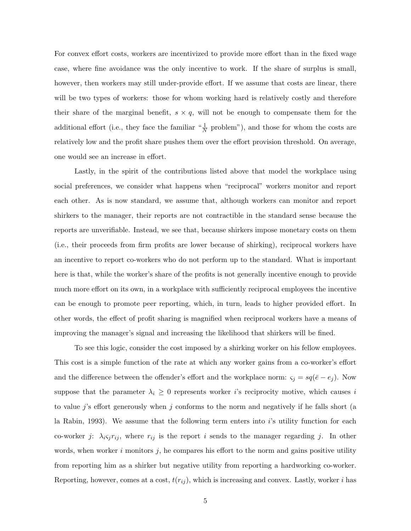For convex effort costs, workers are incentivized to provide more effort than in the fixed wage case, where fine avoidance was the only incentive to work. If the share of surplus is small, however, then workers may still under-provide effort. If we assume that costs are linear, there will be two types of workers: those for whom working hard is relatively costly and therefore their share of the marginal benefit,  $s \times q$ , will not be enough to compensate them for the additional effort (i.e., they face the familiar  $\frac{1}{N}$  problem"), and those for whom the costs are relatively low and the profit share pushes them over the effort provision threshold. On average, one would see an increase in effort.

Lastly, in the spirit of the contributions listed above that model the workplace using social preferences, we consider what happens when "reciprocal" workers monitor and report each other. As is now standard, we assume that, although workers can monitor and report shirkers to the manager, their reports are not contractible in the standard sense because the reports are unverifiable. Instead, we see that, because shirkers impose monetary costs on them (i.e., their proceeds from firm profits are lower because of shirking), reciprocal workers have an incentive to report co-workers who do not perform up to the standard. What is important here is that, while the worker's share of the profits is not generally incentive enough to provide much more effort on its own, in a workplace with sufficiently reciprocal employees the incentive can be enough to promote peer reporting, which, in turn, leads to higher provided effort. In other words, the effect of profit sharing is magnified when reciprocal workers have a means of improving the manager's signal and increasing the likelihood that shirkers will be fined.

To see this logic, consider the cost imposed by a shirking worker on his fellow employees. This cost is a simple function of the rate at which any worker gains from a co-worker's effort and the difference between the offender's effort and the workplace norm:  $\varsigma_j = sq(\bar{e} - e_j)$ . Now suppose that the parameter  $\lambda_i \geq 0$  represents worker *i*'s reciprocity motive, which causes *i* to value j's effort generously when j conforms to the norm and negatively if he falls short (a la Rabin, 1993). We assume that the following term enters into  $i$ 's utility function for each co-worker *j*:  $\lambda_i \varsigma_j r_{ij}$ , where  $r_{ij}$  is the report *i* sends to the manager regarding *j*. In other words, when worker i monitors  $i$ , he compares his effort to the norm and gains positive utility from reporting him as a shirker but negative utility from reporting a hardworking co-worker. Reporting, however, comes at a cost,  $t(r_{ij})$ , which is increasing and convex. Lastly, worker i has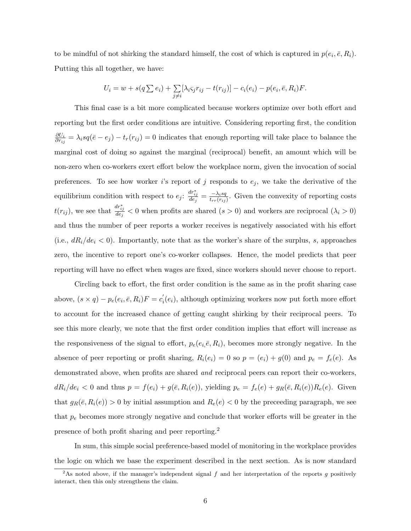to be mindful of not shirking the standard himself, the cost of which is captured in  $p(e_i, \bar{e}, R_i)$ . Putting this all together, we have:

$$
U_i = w + s(q \sum e_i) + \sum_{j \neq i} [\lambda_i \varsigma_j r_{ij} - t(r_{ij})] - c_i(e_i) - p(e_i, \bar{e}, R_i)F.
$$

This final case is a bit more complicated because workers optimize over both effort and reporting but the first order conditions are intuitive. Considering reporting first, the condition  $\partial U_i$  $\frac{\partial U_i}{\partial r_{ij}} = \lambda_i s q (\bar{e} - e_j) - t_r(r_{ij}) = 0$  indicates that enough reporting will take place to balance the marginal cost of doing so against the marginal (reciprocal) benefit, an amount which will be non-zero when co-workers exert effort below the workplace norm, given the invocation of social preferences. To see how worker is report of j responds to  $e_j$ , we take the derivative of the equilibrium condition with respect to  $e_j$ :  $\frac{dr_{ij}^*}{de_j} = \frac{-\lambda_i sq}{t_{rr}(r_{ij})}$  $\frac{-\lambda_i s q}{t_{rr}(r_{ij})}$ . Given the convexity of reporting costs  $t(r_{ij})$ , we see that  $\frac{dr_{ij}^*}{de_j} < 0$  when profits are shared  $(s > 0)$  and workers are reciprocal  $(\lambda_i > 0)$ and thus the number of peer reports a worker receives is negatively associated with his effort (i.e.,  $dR_i/de_i < 0$ ). Importantly, note that as the worker's share of the surplus, s, approaches zero, the incentive to report one's co-worker collapses. Hence, the model predicts that peer reporting will have no effect when wages are fixed, since workers should never choose to report.

Circling back to effort, the first order condition is the same as in the profit sharing case above,  $(s \times q) - p_e(e_i, \bar{e}, R_i)F = c_i'$  $i<sub>i</sub>(e<sub>i</sub>)$ , although optimizing workers now put forth more effort to account for the increased chance of getting caught shirking by their reciprocal peers. To see this more clearly, we note that the first order condition implies that effort will increase as the responsiveness of the signal to effort,  $p_e(e_i, \bar{e}, R_i)$ , becomes more strongly negative. In the absence of peer reporting or profit sharing,  $R_i(e_i) = 0$  so  $p = (e_i) + g(0)$  and  $p_e = f_e(e)$ . As demonstrated above, when profits are shared *and* reciprocal peers can report their co-workers,  $dR_i/de_i < 0$  and thus  $p = f(e_i) + g(\bar{e}, R_i(e))$ , yielding  $p_e = f_e(e) + g_R(\bar{e}, R_i(e))R_e(e)$ . Given that  $g_R(\bar{e}, R_i(e)) > 0$  by initial assumption and  $R_e(e) < 0$  by the preceeding paragraph, we see that  $p_e$  becomes more strongly negative and conclude that worker efforts will be greater in the presence of both profit sharing and peer reporting.<sup>2</sup>

In sum, this simple social preference-based model of monitoring in the workplace provides the logic on which we base the experiment described in the next section. As is now standard

<sup>&</sup>lt;sup>2</sup>As noted above, if the manager's independent signal  $f$  and her interpretation of the reports  $g$  positively interact, then this only strengthens the claim.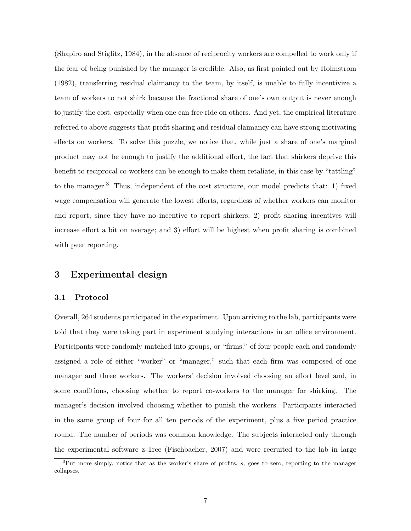(Shapiro and Stiglitz, 1984), in the absence of reciprocity workers are compelled to work only if the fear of being punished by the manager is credible. Also, as first pointed out by Holmstrom (1982), transferring residual claimancy to the team, by itself, is unable to fully incentivize a team of workers to not shirk because the fractional share of one's own output is never enough to justify the cost, especially when one can free ride on others. And yet, the empirical literature referred to above suggests that profit sharing and residual claimancy can have strong motivating effects on workers. To solve this puzzle, we notice that, while just a share of one's marginal product may not be enough to justify the additional effort, the fact that shirkers deprive this benefit to reciprocal co-workers can be enough to make them retaliate, in this case by "tattling" to the manager.<sup>3</sup> Thus, independent of the cost structure, our model predicts that: 1) fixed wage compensation will generate the lowest efforts, regardless of whether workers can monitor and report, since they have no incentive to report shirkers; 2) profit sharing incentives will increase effort a bit on average; and 3) effort will be highest when profit sharing is combined with peer reporting.

#### 3 Experimental design

#### 3.1 Protocol

Overall, 264 students participated in the experiment. Upon arriving to the lab, participants were told that they were taking part in experiment studying interactions in an office environment. Participants were randomly matched into groups, or "firms," of four people each and randomly assigned a role of either "worker" or "manager," such that each firm was composed of one manager and three workers. The workers' decision involved choosing an effort level and, in some conditions, choosing whether to report co-workers to the manager for shirking. The manager's decision involved choosing whether to punish the workers. Participants interacted in the same group of four for all ten periods of the experiment, plus a five period practice round. The number of periods was common knowledge. The subjects interacted only through the experimental software z-Tree (Fischbacher, 2007) and were recruited to the lab in large

<sup>&</sup>lt;sup>3</sup>Put more simply, notice that as the worker's share of profits, s, goes to zero, reporting to the manager collapses.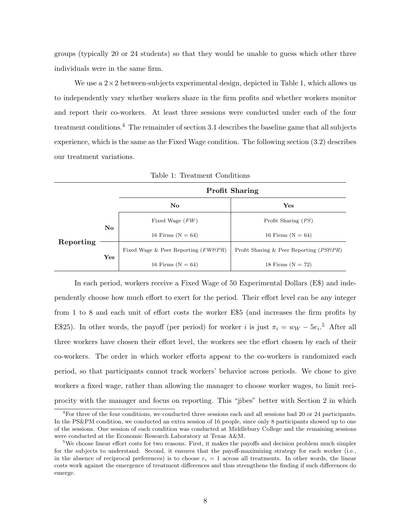groups (typically 20 or 24 students) so that they would be unable to guess which other three individuals were in the same firm.

We use a  $2\times 2$  between-subjects experimental design, depicted in Table 1, which allows us to independently vary whether workers share in the firm profits and whether workers monitor and report their co-workers. At least three sessions were conducted under each of the four treatment conditions.<sup>4</sup> The remainder of section 3.1 describes the baseline game that all subjects experience, which is the same as the Fixed Wage condition. The following section (3.2) describes our treatment variations.

|           |                        |                                        | <b>Profit Sharing</b>                                |
|-----------|------------------------|----------------------------------------|------------------------------------------------------|
|           |                        | $\mathbf{N}\mathbf{o}$                 | Yes                                                  |
|           |                        | Fixed Wage $(FW)$                      | Profit Sharing $(PS)$                                |
|           | $\mathbf{N}\mathbf{o}$ | 16 Firms $(N = 64)$                    | 16 Firms $(N = 64)$                                  |
| Reporting |                        | Fixed Wage & Peer Reporting $(FW\&PR)$ | Profit Sharing & Peer Reporting ( <i>PS&amp;PR</i> ) |
|           | Yes                    | 16 Firms $(N = 64)$                    | 18 Firms $(N = 72)$                                  |

Table 1: Treatment Conditions

In each period, workers receive a Fixed Wage of 50 Experimental Dollars (E\$) and independently choose how much effort to exert for the period. Their effort level can be any integer from 1 to 8 and each unit of effort costs the worker E\$5 (and increases the firm profits by E\$25). In other words, the payoff (per period) for worker i is just  $\pi_i = w_W - 5e_i$ .<sup>5</sup> After all three workers have chosen their effort level, the workers see the effort chosen by each of their co-workers. The order in which worker efforts appear to the co-workers is randomized each period, so that participants cannot track workers' behavior across periods. We chose to give workers a fixed wage, rather than allowing the manager to choose worker wages, to limit reciprocity with the manager and focus on reporting. This "jibes" better with Section 2 in which

 ${}^{4}$ For three of the four conditions, we conducted three sessions each and all sessions had 20 or 24 participants. In the PS&PM condition, we conducted an extra session of 16 people, since only 8 participants showed up to one of the sessions. One session of each condition was conducted at Middlebury College and the remaining sessions were conducted at the Economic Research Laboratory at Texas A&M.

<sup>&</sup>lt;sup>5</sup>We choose linear effort costs for two reasons. First, it makes the payoffs and decision problem much simpler for the subjects to understand. Second, it ensures that the payoff-maximizing strategy for each worker (i.e., in the absence of reciprocal preferences) is to choose  $e_i = 1$  across all treatments. In other words, the linear costs work against the emergence of treatment differences and thus strengthens the finding if such differences do emerge.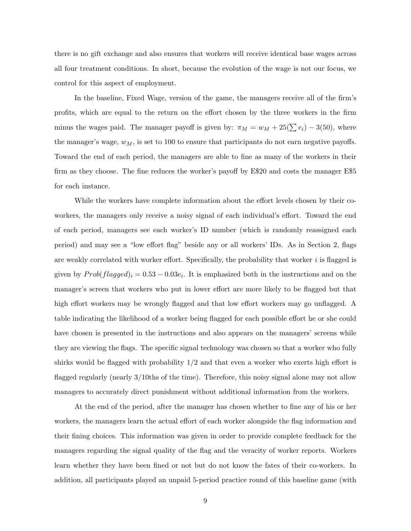there is no gift exchange and also ensures that workers will receive identical base wages across all four treatment conditions. In short, because the evolution of the wage is not our focus, we control for this aspect of employment.

In the baseline, Fixed Wage, version of the game, the managers receive all of the firm's profits, which are equal to the return on the effort chosen by the three workers in the firm minus the wages paid. The manager payoff is given by:  $\pi_M = w_M + 25(\sum e_i) - 3(50)$ , where the manager's wage,  $w_M$ , is set to 100 to ensure that participants do not earn negative payoffs. Toward the end of each period, the managers are able to fine as many of the workers in their firm as they choose. The fine reduces the worker's payoff by E\$20 and costs the manager E\$5 for each instance.

While the workers have complete information about the effort levels chosen by their coworkers, the managers only receive a noisy signal of each individual's effort. Toward the end of each period, managers see each worker's ID number (which is randomly reassigned each period) and may see a "low effort flag" beside any or all workers' IDs. As in Section 2, flags are weakly correlated with worker effort. Specifically, the probability that worker  $i$  is flagged is given by  $Prob(flagged)_i = 0.53 - 0.03e_i$ . It is emphasized both in the instructions and on the manager's screen that workers who put in lower effort are more likely to be flagged but that high effort workers may be wrongly flagged and that low effort workers may go unflagged. A table indicating the likelihood of a worker being flagged for each possible effort he or she could have chosen is presented in the instructions and also appears on the managers' screens while they are viewing the flags. The specific signal technology was chosen so that a worker who fully shirks would be flagged with probability  $1/2$  and that even a worker who exerts high effort is flagged regularly (nearly 3/10ths of the time). Therefore, this noisy signal alone may not allow managers to accurately direct punishment without additional information from the workers.

At the end of the period, after the manager has chosen whether to fine any of his or her workers, the managers learn the actual effort of each worker alongside the flag information and their fining choices. This information was given in order to provide complete feedback for the managers regarding the signal quality of the flag and the veracity of worker reports. Workers learn whether they have been fined or not but do not know the fates of their co-workers. In addition, all participants played an unpaid 5-period practice round of this baseline game (with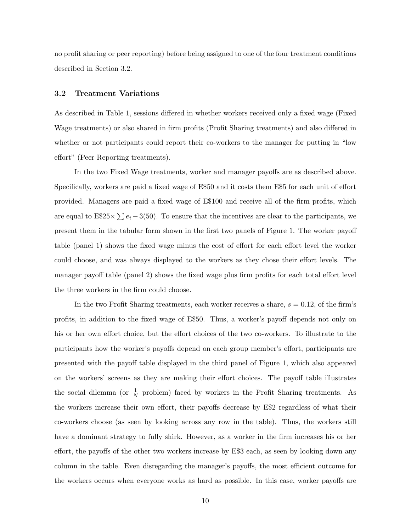no profit sharing or peer reporting) before being assigned to one of the four treatment conditions described in Section 3.2.

#### 3.2 Treatment Variations

As described in Table 1, sessions differed in whether workers received only a fixed wage (Fixed Wage treatments) or also shared in firm profits (Profit Sharing treatments) and also differed in whether or not participants could report their co-workers to the manager for putting in "low effort" (Peer Reporting treatments).

In the two Fixed Wage treatments, worker and manager payoffs are as described above. Specifically, workers are paid a fixed wage of E\$50 and it costs them E\$5 for each unit of effort provided. Managers are paid a fixed wage of E\$100 and receive all of the firm profits, which are equal to  $E$25 \times \sum e_i - 3(50)$ . To ensure that the incentives are clear to the participants, we present them in the tabular form shown in the first two panels of Figure 1. The worker payoff table (panel 1) shows the fixed wage minus the cost of effort for each effort level the worker could choose, and was always displayed to the workers as they chose their effort levels. The manager payoff table (panel 2) shows the fixed wage plus firm profits for each total effort level the three workers in the firm could choose.

In the two Profit Sharing treatments, each worker receives a share,  $s = 0.12$ , of the firm's profits, in addition to the fixed wage of E\$50. Thus, a worker's payoff depends not only on his or her own effort choice, but the effort choices of the two co-workers. To illustrate to the participants how the worker's payoffs depend on each group member's effort, participants are presented with the payoff table displayed in the third panel of Figure 1, which also appeared on the workers' screens as they are making their effort choices. The payoff table illustrates the social dilemma (or  $\frac{1}{N}$  problem) faced by workers in the Profit Sharing treatments. As the workers increase their own effort, their payoffs decrease by E\$2 regardless of what their co-workers choose (as seen by looking across any row in the table). Thus, the workers still have a dominant strategy to fully shirk. However, as a worker in the firm increases his or her effort, the payoffs of the other two workers increase by E\$3 each, as seen by looking down any column in the table. Even disregarding the manager's payoffs, the most efficient outcome for the workers occurs when everyone works as hard as possible. In this case, worker payoffs are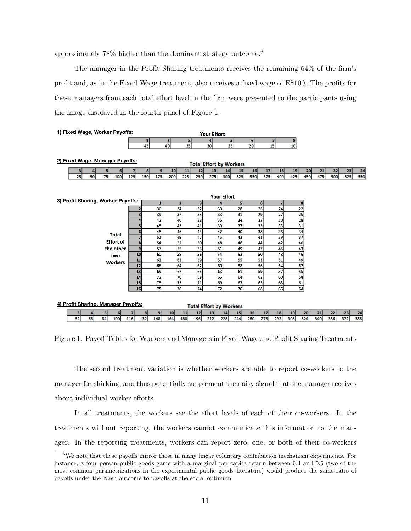approximately 78% higher than the dominant strategy outcome.<sup>6</sup>

The manager in the Profit Sharing treatments receives the remaining 64% of the firm's profit and, as in the Fixed Wage treatment, also receives a fixed wage of E\$100. The profits for these managers from each total effort level in the firm were presented to the participants using the image displayed in the fourth panel of Figure 1.

| 1) Fixed Wage, Worker Payoffs:                                                                                                         |                  |                     |                        |                        | <b>Your Effort</b> |                                |                |                        |           |           |           |           |           |           |
|----------------------------------------------------------------------------------------------------------------------------------------|------------------|---------------------|------------------------|------------------------|--------------------|--------------------------------|----------------|------------------------|-----------|-----------|-----------|-----------|-----------|-----------|
|                                                                                                                                        |                  | $\mathbf{1}$        | $\mathbf{z}$           | 3                      |                    | 5                              | 6 <sup>1</sup> | $\overline{7}$         | 8         |           |           |           |           |           |
|                                                                                                                                        |                  | 45                  | 40                     | 35                     | 30                 | 25                             | 20             | $\overline{15}$        | 10        |           |           |           |           |           |
|                                                                                                                                        |                  |                     |                        |                        |                    |                                |                |                        |           |           |           |           |           |           |
| 2) Fixed Wage, Manager Payoffs:                                                                                                        |                  |                     |                        |                        |                    |                                |                |                        |           |           |           |           |           |           |
|                                                                                                                                        |                  |                     |                        |                        |                    | <b>Total Effort by Workers</b> |                |                        |           |           |           |           |           |           |
| 5<br>6 <sup>1</sup><br>3                                                                                                               | 7                | 8 <sup>1</sup><br>9 | 10                     | 11<br>12               | 13                 | 15<br>14                       | 16             | 18<br>17               | 19        | 20        | 21        | 22        | 23        | 24        |
| 75<br>25<br>50<br>100                                                                                                                  | 125              | 175<br>150          | 200                    | 225<br>250             | 275                | 325<br>300                     | 350            | 400<br>375             | 425       | 450       | 475       | 500       | 525       | 550       |
|                                                                                                                                        |                  |                     |                        |                        |                    |                                |                |                        |           |           |           |           |           |           |
|                                                                                                                                        |                  |                     |                        |                        |                    |                                |                |                        |           |           |           |           |           |           |
| <b>Your Effort</b><br>3) Profit Sharing, Worker Payoffs:<br>$\overline{\mathbf{z}}$<br>3 <sup>1</sup><br>$\overline{2}$<br>5<br>6<br>8 |                  |                     |                        |                        |                    |                                |                |                        |           |           |           |           |           |           |
|                                                                                                                                        |                  |                     |                        |                        |                    |                                |                |                        |           |           |           |           |           |           |
|                                                                                                                                        | $\mathbf{2}$     | 36                  | 34                     | 32                     | 30                 | 28                             | 26             | 24                     |           | 22        |           |           |           |           |
|                                                                                                                                        | 3                | 39                  | 37                     | 35                     | 33                 | 31                             | 29             | 27                     |           | 25        |           |           |           |           |
|                                                                                                                                        | 4                | 42                  | 40                     | 38                     | 36                 | 34                             | 32             | 30                     |           | 28        |           |           |           |           |
|                                                                                                                                        | 5                | 45                  | 43                     | 41                     | 39                 | 37                             | 35             | 33                     |           | 31        |           |           |           |           |
| <b>Total</b>                                                                                                                           | $6 \overline{6}$ | 48                  | 46                     | 44                     | 42                 | 40                             | 38             | 36                     |           | 34        |           |           |           |           |
|                                                                                                                                        | $\overline{7}$   | 51                  | 49                     | 47                     | 45                 | 43                             | 41             | 39                     |           | 37        |           |           |           |           |
| <b>Effort of</b>                                                                                                                       | $\boldsymbol{8}$ | 54                  | 52                     | 50                     | 48                 | 46                             | 44             | 42                     |           | 40        |           |           |           |           |
| the other                                                                                                                              | $\overline{9}$   | 57                  | 55                     | 53                     | 51                 | 49                             | 47             | 45                     |           | 43        |           |           |           |           |
| two                                                                                                                                    | 10               | 60                  | 58                     | 56                     | 54                 | 52                             | 50             | 48                     |           | 46        |           |           |           |           |
| <b>Workers</b>                                                                                                                         | 11               | 63                  | 61                     | 59                     | 57                 | 55                             | 53             | 51                     |           | 49        |           |           |           |           |
|                                                                                                                                        | 12               | 66                  | 64                     | 62                     | 60                 | 58                             | 56             | 54                     |           | 52        |           |           |           |           |
|                                                                                                                                        | 13               | 69                  | 67                     | 65                     | 63                 | 61                             | 59             | 57                     |           | 55        |           |           |           |           |
|                                                                                                                                        | 14               | 72                  | 70                     | 68                     | 66                 | 64                             | 62             | 60                     |           | 58        |           |           |           |           |
|                                                                                                                                        | 15               | 75                  | 73                     | 71                     | 69                 | 67                             | 65             | 63                     |           | 61        |           |           |           |           |
|                                                                                                                                        | 16               | 78                  | <b>76</b>              | 74                     | 72                 | 70                             | 68             | 66                     |           | 64        |           |           |           |           |
|                                                                                                                                        |                  |                     |                        |                        |                    |                                |                |                        |           |           |           |           |           |           |
| 4) Profit Sharing, Manager Payoffs:                                                                                                    |                  |                     |                        |                        |                    | <b>Total Effort by Workers</b> |                |                        |           |           |           |           |           |           |
|                                                                                                                                        |                  | $\vert$             |                        |                        |                    |                                |                |                        |           |           |           |           |           |           |
| 5<br>6<br>E<br>52<br>68<br>84<br>100                                                                                                   | 7<br>116<br>132  | 9<br>148            | 10 <sup>1</sup><br>164 | 12<br>11<br>180<br>196 | 13<br>212          | 15<br>14<br>244<br>228         | 16<br>260      | 17<br>18<br>276<br>292 | 19<br>308 | 20<br>324 | 21<br>340 | 22<br>356 | 23<br>372 | 24<br>388 |

Figure 1: Payoff Tables for Workers and Managers in Fixed Wage and Profit Sharing Treatments

The second treatment variation is whether workers are able to report co-workers to the manager for shirking, and thus potentially supplement the noisy signal that the manager receives about individual worker efforts.

In all treatments, the workers see the effort levels of each of their co-workers. In the treatments without reporting, the workers cannot communicate this information to the manager. In the reporting treatments, workers can report zero, one, or both of their co-workers

<sup>6</sup>We note that these payoffs mirror those in many linear voluntary contribution mechanism experiments. For instance, a four person public goods game with a marginal per capita return between 0.4 and 0.5 (two of the most common parametrizations in the experimental public goods literature) would produce the same ratio of payoffs under the Nash outcome to payoffs at the social optimum.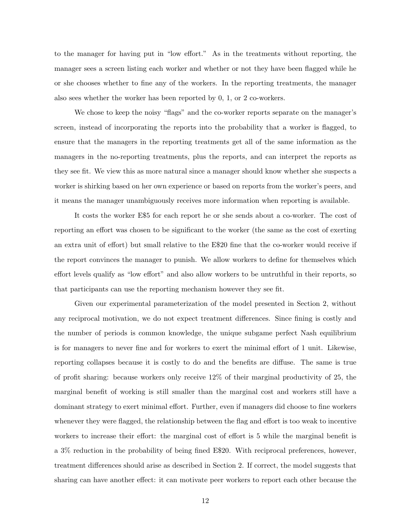to the manager for having put in "low effort." As in the treatments without reporting, the manager sees a screen listing each worker and whether or not they have been flagged while he or she chooses whether to fine any of the workers. In the reporting treatments, the manager also sees whether the worker has been reported by 0, 1, or 2 co-workers.

We chose to keep the noisy "flags" and the co-worker reports separate on the manager's screen, instead of incorporating the reports into the probability that a worker is flagged, to ensure that the managers in the reporting treatments get all of the same information as the managers in the no-reporting treatments, plus the reports, and can interpret the reports as they see fit. We view this as more natural since a manager should know whether she suspects a worker is shirking based on her own experience or based on reports from the worker's peers, and it means the manager unambiguously receives more information when reporting is available.

It costs the worker E\$5 for each report he or she sends about a co-worker. The cost of reporting an effort was chosen to be significant to the worker (the same as the cost of exerting an extra unit of effort) but small relative to the E\$20 fine that the co-worker would receive if the report convinces the manager to punish. We allow workers to define for themselves which effort levels qualify as "low effort" and also allow workers to be untruthful in their reports, so that participants can use the reporting mechanism however they see fit.

Given our experimental parameterization of the model presented in Section 2, without any reciprocal motivation, we do not expect treatment differences. Since fining is costly and the number of periods is common knowledge, the unique subgame perfect Nash equilibrium is for managers to never fine and for workers to exert the minimal effort of 1 unit. Likewise, reporting collapses because it is costly to do and the benefits are diffuse. The same is true of profit sharing: because workers only receive 12% of their marginal productivity of 25, the marginal benefit of working is still smaller than the marginal cost and workers still have a dominant strategy to exert minimal effort. Further, even if managers did choose to fine workers whenever they were flagged, the relationship between the flag and effort is too weak to incentive workers to increase their effort: the marginal cost of effort is 5 while the marginal benefit is a 3% reduction in the probability of being fined E\$20. With reciprocal preferences, however, treatment differences should arise as described in Section 2. If correct, the model suggests that sharing can have another effect: it can motivate peer workers to report each other because the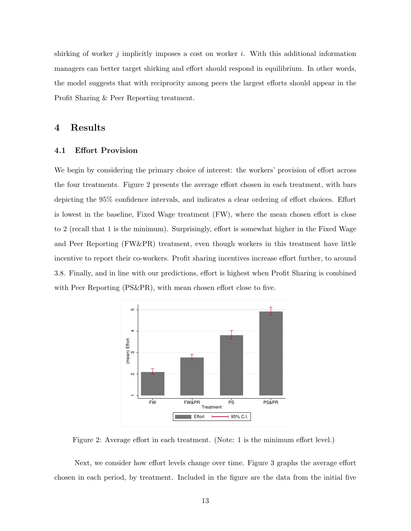shirking of worker j implicitly imposes a cost on worker i. With this additional information managers can better target shirking and effort should respond in equilibrium. In other words, the model suggests that with reciprocity among peers the largest efforts should appear in the Profit Sharing & Peer Reporting treatment.

#### 4 Results

#### 4.1 Effort Provision

We begin by considering the primary choice of interest: the workers' provision of effort across the four treatments. Figure 2 presents the average effort chosen in each treatment, with bars depicting the 95% confidence intervals, and indicates a clear ordering of effort choices. Effort is lowest in the baseline, Fixed Wage treatment (FW), where the mean chosen effort is close to 2 (recall that 1 is the minimum). Surprisingly, effort is somewhat higher in the Fixed Wage and Peer Reporting (FW&PR) treatment, even though workers in this treatment have little incentive to report their co-workers. Profit sharing incentives increase effort further, to around 3.8. Finally, and in line with our predictions, effort is highest when Profit Sharing is combined with Peer Reporting (PS&PR), with mean chosen effort close to five.



Figure 2: Average effort in each treatment. (Note: 1 is the minimum effort level.)

Next, we consider how effort levels change over time. Figure 3 graphs the average effort chosen in each period, by treatment. Included in the figure are the data from the initial five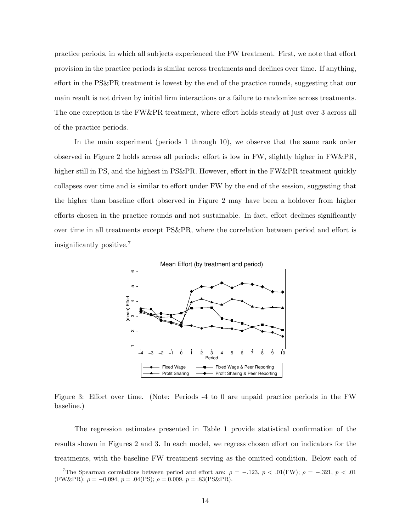practice periods, in which all subjects experienced the FW treatment. First, we note that effort provision in the practice periods is similar across treatments and declines over time. If anything, effort in the PS&PR treatment is lowest by the end of the practice rounds, suggesting that our main result is not driven by initial firm interactions or a failure to randomize across treatments. The one exception is the FW&PR treatment, where effort holds steady at just over 3 across all of the practice periods.

In the main experiment (periods 1 through 10), we observe that the same rank order observed in Figure 2 holds across all periods: effort is low in FW, slightly higher in FW&PR, higher still in PS, and the highest in PS&PR. However, effort in the FW&PR treatment quickly collapses over time and is similar to effort under FW by the end of the session, suggesting that the higher than baseline effort observed in Figure 2 may have been a holdover from higher efforts chosen in the practice rounds and not sustainable. In fact, effort declines significantly over time in all treatments except PS&PR, where the correlation between period and effort is insignificantly positive.<sup>7</sup>



Figure 3: Effort over time. (Note: Periods -4 to 0 are unpaid practice periods in the FW baseline.)

The regression estimates presented in Table 1 provide statistical confirmation of the results shown in Figures 2 and 3. In each model, we regress chosen effort on indicators for the treatments, with the baseline FW treatment serving as the omitted condition. Below each of

<sup>&</sup>lt;sup>7</sup>The Spearman correlations between period and effort are:  $\rho = -.123, p < .01$ (FW);  $\rho = -.321, p < .01$ (FW&PR);  $\rho = -0.094$ ,  $p = .04$ (PS);  $\rho = 0.009$ ,  $p = .83$ (PS&PR).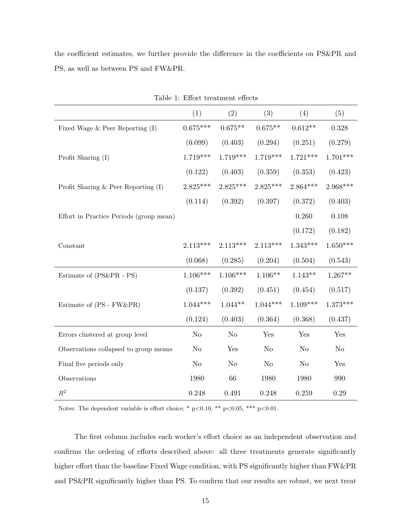the coefficient estimates, we further provide the difference in the coefficients on PS&PR and PS, as well as between PS and FW&PR.

|                                         | (1)            | (2)            | (3)        | (4)            | (5)        |
|-----------------------------------------|----------------|----------------|------------|----------------|------------|
| Fixed Wage $&$ Peer Reporting $(I)$     | $0.675***$     | $0.675**$      | $0.675**$  | $0.612**$      | 0.328      |
|                                         | (0.099)        | (0.403)        | (0.294)    | (0.251)        | (0.279)    |
| Profit Sharing (I)                      | $1.719***$     | $1.719***$     | $1.719***$ | $1.721***$     | $1.701***$ |
|                                         | (0.122)        | (0.403)        | (0.359)    | (0.353)        | (0.423)    |
| Profit Sharing $\&$ Peer Reporting (I)  | $2.825***$     | $2.825***$     | $2.825***$ | $2.864***$     | $2.968***$ |
|                                         | (0.114)        | (0.392)        | (0.397)    | (0.372)        | (0.403)    |
| Effort in Practice Periods (group mean) |                |                |            | 0.260          | 0.108      |
|                                         |                |                |            | (0.172)        | (0.182)    |
| Constant                                | $2.113***$     | $2.113***$     | $2.113***$ | $1.343***$     | $1.650***$ |
|                                         | (0.068)        | (0.285)        | (0.204)    | (0.504)        | (0.543)    |
| Estimate of (PS&PR - PS)                | $1.106***$     | $1.106***$     | $1.106**$  | $1.143**$      | $1.267**$  |
|                                         | (0.137)        | (0.392)        | (0.451)    | (0.454)        | (0.517)    |
| Estimate of (PS - FW&PR)                | $1.044***$     | $1.044**$      | $1.044***$ | $1.109***$     | $1.373***$ |
|                                         | (0.124)        | (0.403)        | (0.364)    | (0.368)        | (0.437)    |
| Errors clustered at group level         | N <sub>o</sub> | N <sub>o</sub> | Yes        | Yes            | Yes        |
| Observations collapsed to group means   | N <sub>o</sub> | Yes            | No         | N <sub>o</sub> | No         |
| Final five periods only                 | N <sub>o</sub> | $\rm No$       | $\rm No$   | N <sub>o</sub> | Yes        |
| Observations                            | 1980           | 66             | 1980       | 1980           | 990        |
| $\mathbb{R}^2$                          | 0.248          | 0.491          | 0.248      | 0.259          | 0.29       |

Table 1: Effort treatment effects

Notes: The dependent variable is effort choice; \* p<0.10, \*\* p<0.05, \*\*\* p<0.01.

The first column includes each worker's effort choice as an independent observation and confirms the ordering of efforts described above: all three treatments generate significantly higher effort than the baseline Fixed Wage condition, with PS significantly higher than FW&PR and PS&PR significantly higher than PS. To confirm that our results are robust, we next treat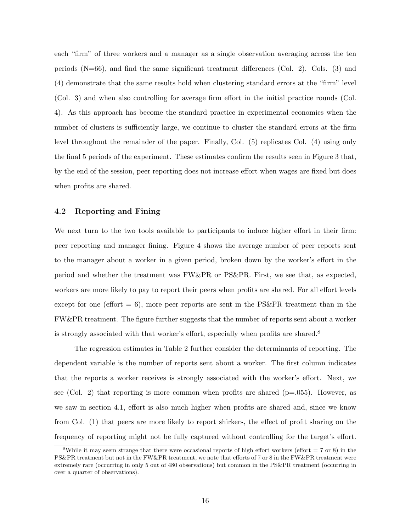each "firm" of three workers and a manager as a single observation averaging across the ten periods  $(N=66)$ , and find the same significant treatment differences  $(Col. 2)$ . Cols. (3) and (4) demonstrate that the same results hold when clustering standard errors at the "firm" level (Col. 3) and when also controlling for average firm effort in the initial practice rounds (Col. 4). As this approach has become the standard practice in experimental economics when the number of clusters is sufficiently large, we continue to cluster the standard errors at the firm level throughout the remainder of the paper. Finally, Col. (5) replicates Col. (4) using only the final 5 periods of the experiment. These estimates confirm the results seen in Figure 3 that, by the end of the session, peer reporting does not increase effort when wages are fixed but does when profits are shared.

#### 4.2 Reporting and Fining

We next turn to the two tools available to participants to induce higher effort in their firm: peer reporting and manager fining. Figure 4 shows the average number of peer reports sent to the manager about a worker in a given period, broken down by the worker's effort in the period and whether the treatment was FW&PR or PS&PR. First, we see that, as expected, workers are more likely to pay to report their peers when profits are shared. For all effort levels except for one (effort  $= 6$ ), more peer reports are sent in the PS&PR treatment than in the FW&PR treatment. The figure further suggests that the number of reports sent about a worker is strongly associated with that worker's effort, especially when profits are shared.<sup>8</sup>

The regression estimates in Table 2 further consider the determinants of reporting. The dependent variable is the number of reports sent about a worker. The first column indicates that the reports a worker receives is strongly associated with the worker's effort. Next, we see (Col. 2) that reporting is more common when profits are shared ( $p=0.055$ ). However, as we saw in section 4.1, effort is also much higher when profits are shared and, since we know from Col. (1) that peers are more likely to report shirkers, the effect of profit sharing on the frequency of reporting might not be fully captured without controlling for the target's effort.

<sup>&</sup>lt;sup>8</sup>While it may seem strange that there were occasional reports of high effort workers (effort  $= 7$  or 8) in the PS&PR treatment but not in the FW&PR treatment, we note that efforts of 7 or 8 in the FW&PR treatment were extremely rare (occurring in only 5 out of 480 observations) but common in the PS&PR treatment (occurring in over a quarter of observations).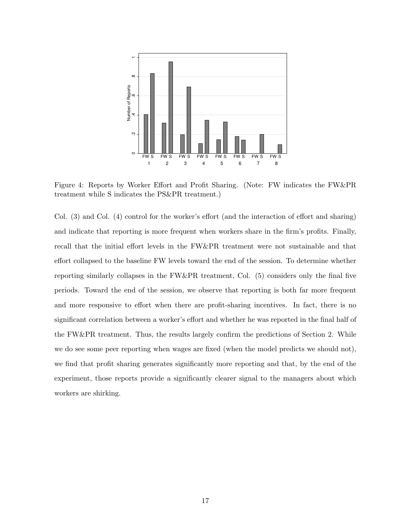

Figure 4: Reports by Worker Effort and Profit Sharing. (Note: FW indicates the FW&PR treatment while S indicates the PS&PR treatment.)

Col. (3) and Col. (4) control for the worker's effort (and the interaction of effort and sharing) and indicate that reporting is more frequent when workers share in the firm's profits. Finally, recall that the initial effort levels in the FW&PR treatment were not sustainable and that effort collapsed to the baseline FW levels toward the end of the session. To determine whether reporting similarly collapses in the FW&PR treatment, Col. (5) considers only the final five periods. Toward the end of the session, we observe that reporting is both far more frequent and more responsive to effort when there are profit-sharing incentives. In fact, there is no significant correlation between a worker's effort and whether he was reported in the final half of the FW&PR treatment. Thus, the results largely confirm the predictions of Section 2. While we do see some peer reporting when wages are fixed (when the model predicts we should not), we find that profit sharing generates significantly more reporting and that, by the end of the experiment, those reports provide a significantly clearer signal to the managers about which workers are shirking.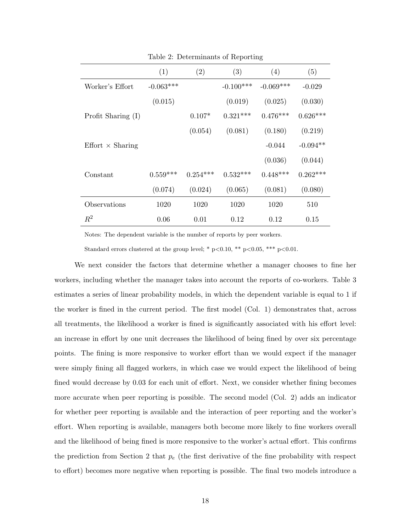|                         | (1)         | (2)        | (3)         | (4)         | (5)        |
|-------------------------|-------------|------------|-------------|-------------|------------|
| Worker's Effort         | $-0.063***$ |            | $-0.100***$ | $-0.069***$ | $-0.029$   |
|                         | (0.015)     |            | (0.019)     | (0.025)     | (0.030)    |
| Profit Sharing $(I)$    |             | $0.107*$   | $0.321***$  | $0.476***$  | $0.626***$ |
|                         |             | (0.054)    | (0.081)     | (0.180)     | (0.219)    |
| $Effort \times Sharing$ |             |            |             | $-0.044$    | $-0.094**$ |
|                         |             |            |             | (0.036)     | (0.044)    |
| Constant                | $0.559***$  | $0.254***$ | $0.532***$  | $0.448***$  | $0.262***$ |
|                         | (0.074)     | (0.024)    | (0.065)     | (0.081)     | (0.080)    |
| Observations            | 1020        | 1020       | 1020        | 1020        | 510        |
| $R^2$                   | 0.06        | 0.01       | 0.12        | 0.12        | 0.15       |

Table 2: Determinants of Reporting

Notes: The dependent variable is the number of reports by peer workers.

Standard errors clustered at the group level; \* p<0.10, \*\* p<0.05, \*\*\* p<0.01.

We next consider the factors that determine whether a manager chooses to fine her workers, including whether the manager takes into account the reports of co-workers. Table 3 estimates a series of linear probability models, in which the dependent variable is equal to 1 if the worker is fined in the current period. The first model (Col. 1) demonstrates that, across all treatments, the likelihood a worker is fined is significantly associated with his effort level: an increase in effort by one unit decreases the likelihood of being fined by over six percentage points. The fining is more responsive to worker effort than we would expect if the manager were simply fining all flagged workers, in which case we would expect the likelihood of being fined would decrease by 0.03 for each unit of effort. Next, we consider whether fining becomes more accurate when peer reporting is possible. The second model (Col. 2) adds an indicator for whether peer reporting is available and the interaction of peer reporting and the worker's effort. When reporting is available, managers both become more likely to fine workers overall and the likelihood of being fined is more responsive to the worker's actual effort. This confirms the prediction from Section 2 that  $p_e$  (the first derivative of the fine probability with respect to effort) becomes more negative when reporting is possible. The final two models introduce a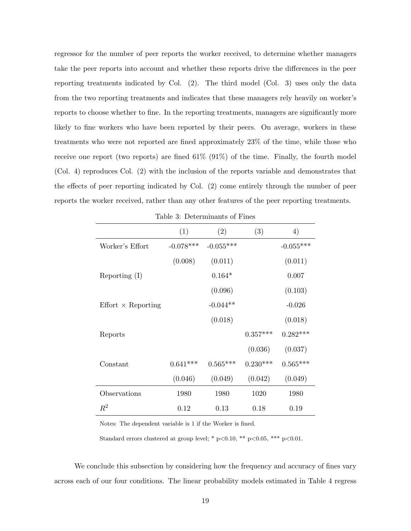regressor for the number of peer reports the worker received, to determine whether managers take the peer reports into account and whether these reports drive the differences in the peer reporting treatments indicated by Col. (2). The third model (Col. 3) uses only the data from the two reporting treatments and indicates that these managers rely heavily on worker's reports to choose whether to fine. In the reporting treatments, managers are significantly more likely to fine workers who have been reported by their peers. On average, workers in these treatments who were not reported are fined approximately 23% of the time, while those who receive one report (two reports) are fined  $61\%$  (91%) of the time. Finally, the fourth model (Col. 4) reproduces Col. (2) with the inclusion of the reports variable and demonstrates that the effects of peer reporting indicated by Col. (2) come entirely through the number of peer reports the worker received, rather than any other features of the peer reporting treatments.

|                           | (1)         | (2)         | (3)        | 4)          |
|---------------------------|-------------|-------------|------------|-------------|
| Worker's Effort           | $-0.078***$ | $-0.055***$ |            | $-0.055***$ |
|                           | (0.008)     | (0.011)     |            | (0.011)     |
| Reporting $(I)$           |             | $0.164*$    |            | 0.007       |
|                           |             | (0.096)     |            | (0.103)     |
| $Effort \times Reporting$ |             | $-0.044**$  |            | $-0.026$    |
|                           |             | (0.018)     |            | (0.018)     |
| Reports                   |             |             | $0.357***$ | $0.282***$  |
|                           |             |             | (0.036)    | (0.037)     |
| Constant                  | $0.641***$  | $0.565***$  | $0.230***$ | $0.565***$  |
|                           | (0.046)     | (0.049)     | (0.042)    | (0.049)     |
| Observations              | 1980        | 1980        | 1020       | 1980        |
| $\,R^2$                   | 0.12        | 0.13        | 0.18       | 0.19        |

Table 3: Determinants of Fines

Notes: The dependent variable is 1 if the Worker is fined.

Standard errors clustered at group level; \*  $p<0.10$ , \*\*  $p<0.05$ , \*\*\*  $p<0.01$ .

We conclude this subsection by considering how the frequency and accuracy of fines vary across each of our four conditions. The linear probability models estimated in Table 4 regress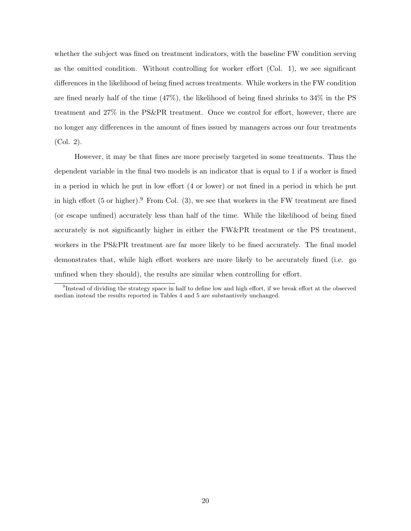whether the subject was fined on treatment indicators, with the baseline FW condition serving as the omitted condition. Without controlling for worker effort (Col. 1), we see significant differences in the likelihood of being fined across treatments. While workers in the FW condition are fined nearly half of the time (47%), the likelihood of being fined shrinks to 34% in the PS treatment and 27% in the PS&PR treatment. Once we control for effort, however, there are no longer any differences in the amount of fines issued by managers across our four treatments (Col. 2).

However, it may be that fines are more precisely targeted in some treatments. Thus the dependent variable in the final two models is an indicator that is equal to 1 if a worker is fined in a period in which he put in low effort (4 or lower) or not fined in a period in which he put in high effort  $(5 \text{ or higher})$ . From Col.  $(3)$ , we see that workers in the FW treatment are fined (or escape unfined) accurately less than half of the time. While the likelihood of being fined accurately is not significantly higher in either the FW&PR treatment or the PS treatment, workers in the PS&PR treatment are far more likely to be fined accurately. The final model demonstrates that, while high effort workers are more likely to be accurately fined (i.e. go unfined when they should), the results are similar when controlling for effort.

<sup>&</sup>lt;sup>9</sup>Instead of dividing the strategy space in half to define low and high effort, if we break effort at the observed median instead the results reported in Tables 4 and 5 are substantively unchanged.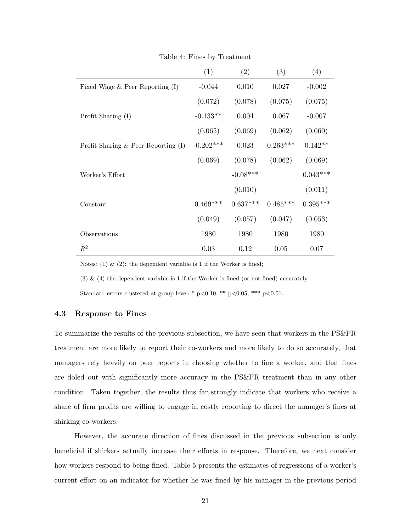|                                          | (1)         | (2)        | (3)        | (4)        |
|------------------------------------------|-------------|------------|------------|------------|
| Fixed Wage $&$ Peer Reporting (I)        | $-0.044$    | 0.010      | 0.027      | $-0.002$   |
|                                          | (0.072)     | (0.078)    | (0.075)    | (0.075)    |
| Profit Sharing $(I)$                     | $-0.133**$  | 0.004      | 0.067      | $-0.007$   |
|                                          | (0.065)     | (0.069)    | (0.062)    | (0.060)    |
| Profit Sharing $\&$ Peer Reporting $(I)$ | $-0.202***$ | 0.023      | $0.263***$ | $0.142**$  |
|                                          | (0.069)     | (0.078)    | (0.062)    | (0.069)    |
| Worker's Effort                          |             | $-0.08***$ |            | $0.043***$ |
|                                          |             | (0.010)    |            | (0.011)    |
| Constant                                 | $0.469***$  | $0.637***$ | $0.485***$ | $0.395***$ |
|                                          | (0.049)     | (0.057)    | (0.047)    | (0.053)    |
| Observations                             | 1980        | 1980       | 1980       | 1980       |
| $R^2$                                    | 0.03        | 0.12       | 0.05       | 0.07       |

Table 4: Fines by Treatment

Notes: (1)  $\&$  (2): the dependent variable is 1 if the Worker is fined;

(3) & (4) the dependent variable is 1 if the Worker is fined (or not fined) accurately.

Standard errors clustered at group level; \*  $p<0.10$ , \*\*  $p<0.05$ , \*\*\*  $p<0.01$ .

#### 4.3 Response to Fines

To summarize the results of the previous subsection, we have seen that workers in the PS&PR treatment are more likely to report their co-workers and more likely to do so accurately, that managers rely heavily on peer reports in choosing whether to fine a worker, and that fines are doled out with significantly more accuracy in the PS&PR treatment than in any other condition. Taken together, the results thus far strongly indicate that workers who receive a share of firm profits are willing to engage in costly reporting to direct the manager's fines at shirking co-workers.

However, the accurate direction of fines discussed in the previous subsection is only beneficial if shirkers actually increase their efforts in response. Therefore, we next consider how workers respond to being fined. Table 5 presents the estimates of regressions of a worker's current effort on an indicator for whether he was fined by his manager in the previous period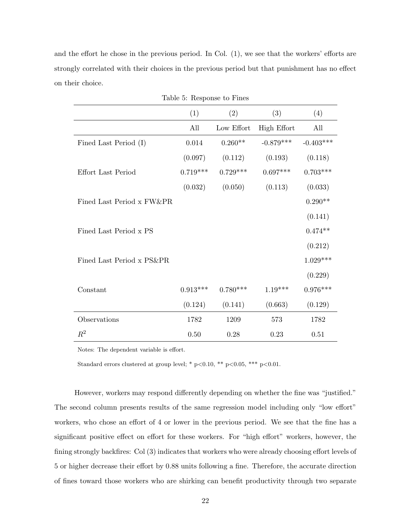and the effort he chose in the previous period. In Col. (1), we see that the workers' efforts are strongly correlated with their choices in the previous period but that punishment has no effect on their choice.

|                           |            | Table 5: Response to Fines |                    |             |
|---------------------------|------------|----------------------------|--------------------|-------------|
|                           | (1)        | (2)                        | (3)                | (4)         |
|                           | All        | Low Effort                 | <b>High Effort</b> | All         |
| Fined Last Period (I)     | 0.014      | $0.260**$                  | $-0.879***$        | $-0.403***$ |
|                           | (0.097)    | (0.112)                    | (0.193)            | (0.118)     |
| Effort Last Period        | $0.719***$ | $0.729***$                 | $0.697***$         | $0.703***$  |
|                           | (0.032)    | (0.050)                    | (0.113)            | (0.033)     |
| Fined Last Period x FW&PR |            |                            |                    | $0.290**$   |
|                           |            |                            |                    | (0.141)     |
| Fined Last Period x PS    |            |                            |                    | $0.474**$   |
|                           |            |                            |                    | (0.212)     |
| Fined Last Period x PS&PR |            |                            |                    | $1.029***$  |
|                           |            |                            |                    | (0.229)     |
| Constant                  | $0.913***$ | $0.780***$                 | $1.19***$          | $0.976***$  |
|                           | (0.124)    | (0.141)                    | (0.663)            | (0.129)     |
| Observations              | 1782       | 1209                       | 573                | 1782        |
| $\mathbb{R}^2$            | 0.50       | 0.28                       | 0.23               | 0.51        |

Notes: The dependent variable is effort.

Standard errors clustered at group level; \* p<0.10, \*\* p<0.05, \*\*\* p<0.01.

However, workers may respond differently depending on whether the fine was "justified." The second column presents results of the same regression model including only "low effort" workers, who chose an effort of 4 or lower in the previous period. We see that the fine has a significant positive effect on effort for these workers. For "high effort" workers, however, the fining strongly backfires: Col (3) indicates that workers who were already choosing effort levels of 5 or higher decrease their effort by 0.88 units following a fine. Therefore, the accurate direction of fines toward those workers who are shirking can benefit productivity through two separate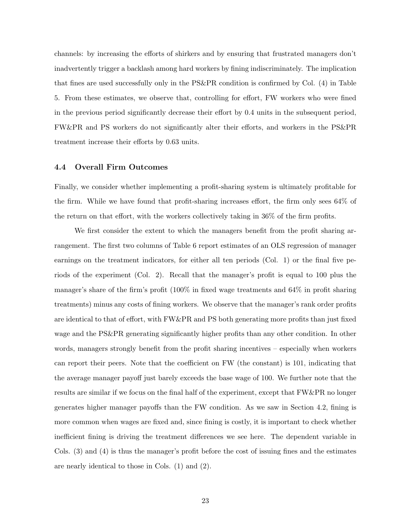channels: by increasing the efforts of shirkers and by ensuring that frustrated managers don't inadvertently trigger a backlash among hard workers by fining indiscriminately. The implication that fines are used successfully only in the PS&PR condition is confirmed by Col. (4) in Table 5. From these estimates, we observe that, controlling for effort, FW workers who were fined in the previous period significantly decrease their effort by 0.4 units in the subsequent period, FW&PR and PS workers do not significantly alter their efforts, and workers in the PS&PR treatment increase their efforts by 0.63 units.

#### 4.4 Overall Firm Outcomes

Finally, we consider whether implementing a profit-sharing system is ultimately profitable for the firm. While we have found that profit-sharing increases effort, the firm only sees 64% of the return on that effort, with the workers collectively taking in 36% of the firm profits.

We first consider the extent to which the managers benefit from the profit sharing arrangement. The first two columns of Table 6 report estimates of an OLS regression of manager earnings on the treatment indicators, for either all ten periods (Col. 1) or the final five periods of the experiment (Col. 2). Recall that the manager's profit is equal to 100 plus the manager's share of the firm's profit (100% in fixed wage treatments and 64% in profit sharing treatments) minus any costs of fining workers. We observe that the manager's rank order profits are identical to that of effort, with FW&PR and PS both generating more profits than just fixed wage and the PS&PR generating significantly higher profits than any other condition. In other words, managers strongly benefit from the profit sharing incentives – especially when workers can report their peers. Note that the coefficient on FW (the constant) is 101, indicating that the average manager payoff just barely exceeds the base wage of 100. We further note that the results are similar if we focus on the final half of the experiment, except that FW&PR no longer generates higher manager payoffs than the FW condition. As we saw in Section 4.2, fining is more common when wages are fixed and, since fining is costly, it is important to check whether inefficient fining is driving the treatment differences we see here. The dependent variable in Cols. (3) and (4) is thus the manager's profit before the cost of issuing fines and the estimates are nearly identical to those in Cols. (1) and (2).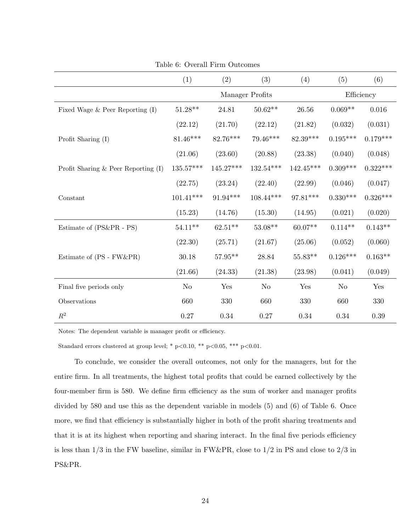|                                        | (1)                | (2)         | (3)             | (4)         | (5)            | (6)        |
|----------------------------------------|--------------------|-------------|-----------------|-------------|----------------|------------|
|                                        |                    |             | Manager Profits |             |                | Efficiency |
| Fixed Wage $&$ Peer Reporting $(I)$    | $51.28^{\ast\ast}$ | 24.81       | $50.62**$       | 26.56       | $0.069**$      | 0.016      |
|                                        | (22.12)            | (21.70)     | (22.12)         | (21.82)     | (0.032)        | (0.031)    |
| Profit Sharing (I)                     | $81.46***$         | 82.76***    | 79.46***        | 82.39***    | $0.195***$     | $0.179***$ |
|                                        | (21.06)            | (23.60)     | (20.88)         | (23.38)     | (0.040)        | (0.048)    |
| Profit Sharing $\&$ Peer Reporting (I) | $135.57***$        | $145.27***$ | 132.54***       | $142.45***$ | $0.309***$     | $0.322***$ |
|                                        | (22.75)            | (23.24)     | (22.40)         | (22.99)     | (0.046)        | (0.047)    |
| Constant                               | $101.41***$        | $91.94***$  | $108.44***$     | 97.81***    | $0.330***$     | $0.326***$ |
|                                        | (15.23)            | (14.76)     | (15.30)         | (14.95)     | (0.021)        | (0.020)    |
| Estimate of (PS&PR - PS)               | $54.11***$         | $62.51**$   | $53.08**$       | $60.07**$   | $0.114**$      | $0.143**$  |
|                                        | (22.30)            | (25.71)     | (21.67)         | (25.06)     | (0.052)        | (0.060)    |
| Estimate of (PS - FW&PR)               | 30.18              | $57.95**$   | 28.84           | $55.83**$   | $0.126***$     | $0.163**$  |
|                                        | (21.66)            | (24.33)     | (21.38)         | (23.98)     | (0.041)        | (0.049)    |
| Final five periods only                | N <sub>o</sub>     | Yes         | N <sub>o</sub>  | Yes         | N <sub>o</sub> | Yes        |
| Observations                           | 660                | 330         | 660             | 330         | 660            | 330        |
| $\mathbb{R}^2$                         | $0.27\,$           | 0.34        | $0.27\,$        | 0.34        | $0.34\,$       | $0.39\,$   |

Table 6: Overall Firm Outcomes

Notes: The dependent variable is manager profit or efficiency.

Standard errors clustered at group level; \* p<0.10, \*\* p<0.05, \*\*\* p<0.01.

To conclude, we consider the overall outcomes, not only for the managers, but for the entire firm. In all treatments, the highest total profits that could be earned collectively by the four-member firm is 580. We define firm efficiency as the sum of worker and manager profits divided by 580 and use this as the dependent variable in models (5) and (6) of Table 6. Once more, we find that efficiency is substantially higher in both of the profit sharing treatments and that it is at its highest when reporting and sharing interact. In the final five periods efficiency is less than  $1/3$  in the FW baseline, similar in FW&PR, close to  $1/2$  in PS and close to  $2/3$  in PS&PR.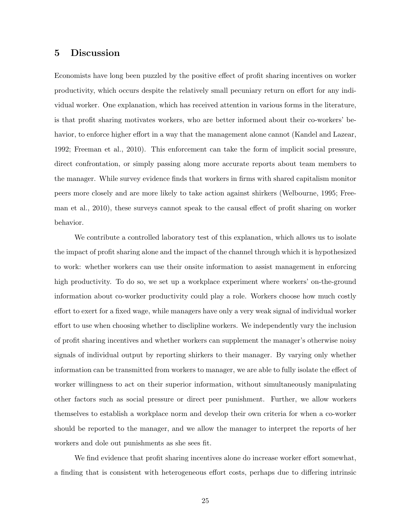#### 5 Discussion

Economists have long been puzzled by the positive effect of profit sharing incentives on worker productivity, which occurs despite the relatively small pecuniary return on effort for any individual worker. One explanation, which has received attention in various forms in the literature, is that profit sharing motivates workers, who are better informed about their co-workers' behavior, to enforce higher effort in a way that the management alone cannot (Kandel and Lazear, 1992; Freeman et al., 2010). This enforcement can take the form of implicit social pressure, direct confrontation, or simply passing along more accurate reports about team members to the manager. While survey evidence finds that workers in firms with shared capitalism monitor peers more closely and are more likely to take action against shirkers (Welbourne, 1995; Freeman et al., 2010), these surveys cannot speak to the causal effect of profit sharing on worker behavior.

We contribute a controlled laboratory test of this explanation, which allows us to isolate the impact of profit sharing alone and the impact of the channel through which it is hypothesized to work: whether workers can use their onsite information to assist management in enforcing high productivity. To do so, we set up a workplace experiment where workers' on-the-ground information about co-worker productivity could play a role. Workers choose how much costly effort to exert for a fixed wage, while managers have only a very weak signal of individual worker effort to use when choosing whether to disclipline workers. We independently vary the inclusion of profit sharing incentives and whether workers can supplement the manager's otherwise noisy signals of individual output by reporting shirkers to their manager. By varying only whether information can be transmitted from workers to manager, we are able to fully isolate the effect of worker willingness to act on their superior information, without simultaneously manipulating other factors such as social pressure or direct peer punishment. Further, we allow workers themselves to establish a workplace norm and develop their own criteria for when a co-worker should be reported to the manager, and we allow the manager to interpret the reports of her workers and dole out punishments as she sees fit.

We find evidence that profit sharing incentives alone do increase worker effort somewhat, a finding that is consistent with heterogeneous effort costs, perhaps due to differing intrinsic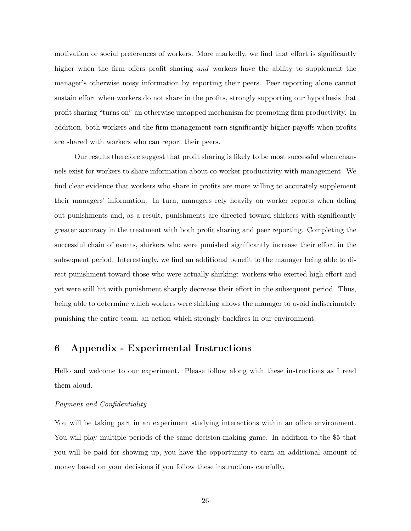motivation or social preferences of workers. More markedly, we find that effort is significantly higher when the firm offers profit sharing and workers have the ability to supplement the manager's otherwise noisy information by reporting their peers. Peer reporting alone cannot sustain effort when workers do not share in the profits, strongly supporting our hypothesis that profit sharing "turns on" an otherwise untapped mechanism for promoting firm productivity. In addition, both workers and the firm management earn significantly higher payoffs when profits are shared with workers who can report their peers.

Our results therefore suggest that profit sharing is likely to be most successful when channels exist for workers to share information about co-worker productivity with management. We find clear evidence that workers who share in profits are more willing to accurately supplement their managers' information. In turn, managers rely heavily on worker reports when doling out punishments and, as a result, punishments are directed toward shirkers with significantly greater accuracy in the treatment with both profit sharing and peer reporting. Completing the successful chain of events, shirkers who were punished significantly increase their effort in the subsequent period. Interestingly, we find an additional benefit to the manager being able to direct punishment toward those who were actually shirking: workers who exerted high effort and yet were still hit with punishment sharply decrease their effort in the subsequent period. Thus, being able to determine which workers were shirking allows the manager to avoid indiscrimately punishing the entire team, an action which strongly backfires in our environment.

### 6 Appendix - Experimental Instructions

Hello and welcome to our experiment. Please follow along with these instructions as I read them aloud.

#### Payment and Confidentiality

You will be taking part in an experiment studying interactions within an office environment. You will play multiple periods of the same decision-making game. In addition to the \$5 that you will be paid for showing up, you have the opportunity to earn an additional amount of money based on your decisions if you follow these instructions carefully.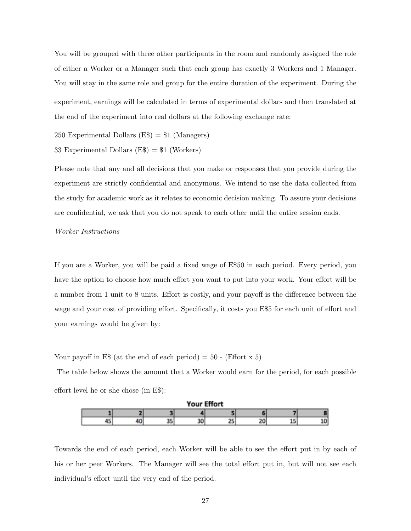You will be grouped with three other participants in the room and randomly assigned the role of either a Worker or a Manager such that each group has exactly 3 Workers and 1 Manager. You will stay in the same role and group for the entire duration of the experiment. During the experiment, earnings will be calculated in terms of experimental dollars and then translated at the end of the experiment into real dollars at the following exchange rate:

250 Experimental Dollars  $(E*) = 1$  (Managers)

33 Experimental Dollars  $(E\$  = \$1 \text{ (Works)}

Please note that any and all decisions that you make or responses that you provide during the experiment are strictly confidential and anonymous. We intend to use the data collected from the study for academic work as it relates to economic decision making. To assure your decisions are confidential, we ask that you do not speak to each other until the entire session ends.

#### Worker Instructions

If you are a Worker, you will be paid a fixed wage of E\$50 in each period. Every period, you have the option to choose how much effort you want to put into your work. Your effort will be a number from 1 unit to 8 units. Effort is costly, and your payoff is the difference between the wage and your cost of providing effort. Specifically, it costs you E\$5 for each unit of effort and your earnings would be given by:

Your payoff in E\$ (at the end of each period) =  $50$  - (Effort x 5)

The table below shows the amount that a Worker would earn for the period, for each possible effort level he or she chose (in E\$):



Towards the end of each period, each Worker will be able to see the effort put in by each of his or her peer Workers. The Manager will see the total effort put in, but will not see each individual's effort until the very end of the period.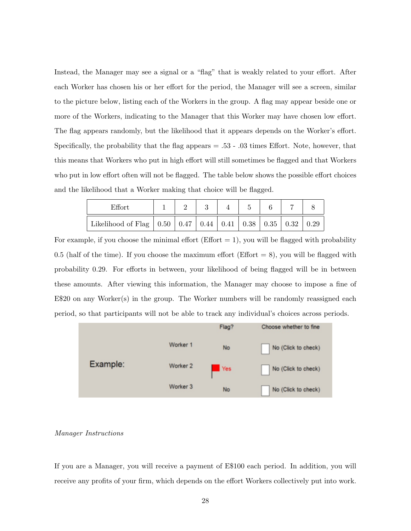Instead, the Manager may see a signal or a "flag" that is weakly related to your effort. After each Worker has chosen his or her effort for the period, the Manager will see a screen, similar to the picture below, listing each of the Workers in the group. A flag may appear beside one or more of the Workers, indicating to the Manager that this Worker may have chosen low effort. The flag appears randomly, but the likelihood that it appears depends on the Worker's effort. Specifically, the probability that the flag appears = .53 - .03 times Effort. Note, however, that this means that Workers who put in high effort will still sometimes be flagged and that Workers who put in low effort often will not be flagged. The table below shows the possible effort choices and the likelihood that a Worker making that choice will be flagged.

| $\mathrm{Effort}$                                                          |  |  |  |  |
|----------------------------------------------------------------------------|--|--|--|--|
| Likelihood of Flag   0.50   0.47   0.44   0.41   0.38   0.35   0.32   0.29 |  |  |  |  |

For example, if you choose the minimal effort (Effort  $= 1$ ), you will be flagged with probability 0.5 (half of the time). If you choose the maximum effort (Effort  $= 8$ ), you will be flagged with probability 0.29. For efforts in between, your likelihood of being flagged will be in between these amounts. After viewing this information, the Manager may choose to impose a fine of E\$20 on any Worker(s) in the group. The Worker numbers will be randomly reassigned each period, so that participants will not be able to track any individual's choices across periods.



#### Manager Instructions

If you are a Manager, you will receive a payment of E\$100 each period. In addition, you will receive any profits of your firm, which depends on the effort Workers collectively put into work.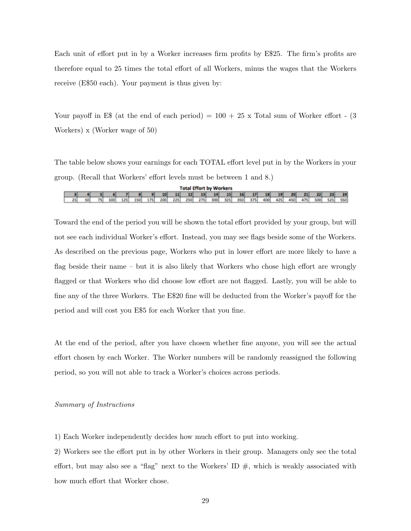Each unit of effort put in by a Worker increases firm profits by E\$25. The firm's profits are therefore equal to 25 times the total effort of all Workers, minus the wages that the Workers receive (E\$50 each). Your payment is thus given by:

Your payoff in E\$ (at the end of each period)  $= 100 + 25 \times$  Total sum of Worker effort - (3) Workers) x (Worker wage of 50)

The table below shows your earnings for each TOTAL effort level put in by the Workers in your group. (Recall that Workers' effort levels must be between 1 and 8.)

|    | <b>Total Effort by Workers</b> |    |     |     |     |     |     |     |                     |     |     |     |          |     |     |     |     |     |     |      |     |
|----|--------------------------------|----|-----|-----|-----|-----|-----|-----|---------------------|-----|-----|-----|----------|-----|-----|-----|-----|-----|-----|------|-----|
|    |                                |    |     |     |     |     | 10  | 11  | $\sim$ 12 13 $\sim$ |     | 14  |     | 15 16 17 |     | 18  | 19  | 20  | 21  | 22  | - 23 | 24  |
| 25 | sol                            | 75 | 100 | 125 | 150 | 175 | 200 | 225 | 250                 | 275 | 300 | 325 | 350      | 375 | 400 | 425 | 450 | 475 | 500 | 525  | 550 |

Toward the end of the period you will be shown the total effort provided by your group, but will not see each individual Worker's effort. Instead, you may see flags beside some of the Workers. As described on the previous page, Workers who put in lower effort are more likely to have a flag beside their name – but it is also likely that Workers who chose high effort are wrongly flagged or that Workers who did choose low effort are not flagged. Lastly, you will be able to fine any of the three Workers. The E\$20 fine will be deducted from the Worker's payoff for the period and will cost you E\$5 for each Worker that you fine.

At the end of the period, after you have chosen whether fine anyone, you will see the actual effort chosen by each Worker. The Worker numbers will be randomly reassigned the following period, so you will not able to track a Worker's choices across periods.

#### Summary of Instructions

1) Each Worker independently decides how much effort to put into working.

2) Workers see the effort put in by other Workers in their group. Managers only see the total effort, but may also see a "flag" next to the Workers' ID  $\#$ , which is weakly associated with how much effort that Worker chose.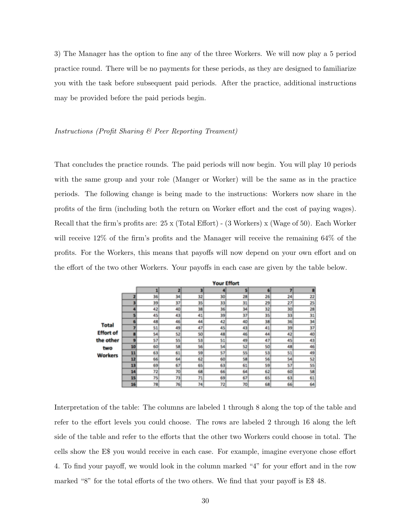3) The Manager has the option to fine any of the three Workers. We will now play a 5 period practice round. There will be no payments for these periods, as they are designed to familiarize you with the task before subsequent paid periods. After the practice, additional instructions may be provided before the paid periods begin.

#### Instructions (Profit Sharing & Peer Reporting Treament)

That concludes the practice rounds. The paid periods will now begin. You will play 10 periods with the same group and your role (Manger or Worker) will be the same as in the practice periods. The following change is being made to the instructions: Workers now share in the profits of the firm (including both the return on Worker effort and the cost of paying wages). Recall that the firm's profits are: 25 x (Total Effort) - (3 Workers) x (Wage of 50). Each Worker will receive 12% of the firm's profits and the Manager will receive the remaining 64% of the profits. For the Workers, this means that payoffs will now depend on your own effort and on the effort of the two other Workers. Your payoffs in each case are given by the table below.

|                                    |    | <b>Your Effort</b> |    |     |    |    |    |    |    |  |  |  |  |  |  |  |
|------------------------------------|----|--------------------|----|-----|----|----|----|----|----|--|--|--|--|--|--|--|
|                                    |    | 1                  | 2  | 3   |    | 5  | 6  | T  | в  |  |  |  |  |  |  |  |
|                                    |    | 36                 | 34 | 32  | 30 | 28 | 26 | 24 | 22 |  |  |  |  |  |  |  |
|                                    | a  | 39                 | 37 | 35  | 33 | 31 | 29 | 27 | 25 |  |  |  |  |  |  |  |
|                                    |    | 42                 | 40 | 38  | 36 | 34 | 32 | 30 | 28 |  |  |  |  |  |  |  |
|                                    | s  | 45                 | 43 | 41  | 39 | 37 | 35 | 33 | 31 |  |  |  |  |  |  |  |
| <b>Total</b>                       |    | 48                 | 46 | 44  | 42 | 40 | 38 | 36 | 34 |  |  |  |  |  |  |  |
|                                    | 7  | 51                 | 49 | 47  | 45 | 43 | 41 | 39 | 37 |  |  |  |  |  |  |  |
| <b>Effort of</b>                   | G  | 54                 | 52 | SO) | 48 | 46 | 44 | 42 | 40 |  |  |  |  |  |  |  |
| the other<br>two<br><b>Workers</b> |    | 57                 | 55 | 53  | 51 | 49 | 47 | 45 | 43 |  |  |  |  |  |  |  |
|                                    | 10 | 60                 | 58 | 56  | 54 | 52 | 50 | 48 | 46 |  |  |  |  |  |  |  |
|                                    | 11 | 63                 | 61 | S9  | 57 | 55 | 53 | 51 | 49 |  |  |  |  |  |  |  |
|                                    | 12 | 66                 | 64 | 62  | 60 | 58 | 56 | 54 | 52 |  |  |  |  |  |  |  |
|                                    | 13 | 69                 | 67 | 65  | 63 | 61 | 59 | 57 | 55 |  |  |  |  |  |  |  |
|                                    | 14 | 72                 | 70 | 68  | 66 | 64 | 62 | 60 | 58 |  |  |  |  |  |  |  |
|                                    | 15 | 75                 | 73 | 71  | 69 | 67 | 65 | 63 | 61 |  |  |  |  |  |  |  |
|                                    | 16 | 78                 | 76 | 74  | 72 | 70 | 68 | 66 | 64 |  |  |  |  |  |  |  |

Interpretation of the table: The columns are labeled 1 through 8 along the top of the table and refer to the effort levels you could choose. The rows are labeled 2 through 16 along the left side of the table and refer to the efforts that the other two Workers could choose in total. The cells show the E\$ you would receive in each case. For example, imagine everyone chose effort 4. To find your payoff, we would look in the column marked "4" for your effort and in the row marked "8" for the total efforts of the two others. We find that your payoff is E\$ 48.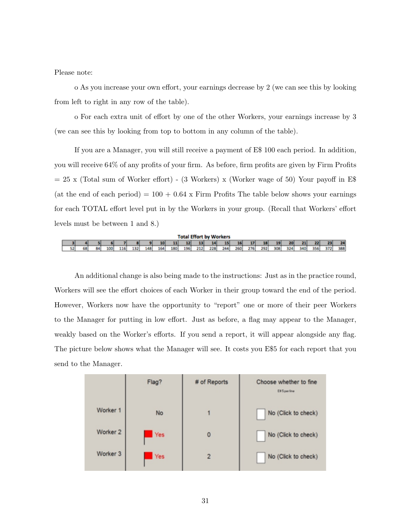Please note:

o As you increase your own effort, your earnings decrease by 2 (we can see this by looking from left to right in any row of the table).

o For each extra unit of effort by one of the other Workers, your earnings increase by 3 (we can see this by looking from top to bottom in any column of the table).

If you are a Manager, you will still receive a payment of E\$ 100 each period. In addition, you will receive 64% of any profits of your firm. As before, firm profits are given by Firm Profits  $= 25$  x (Total sum of Worker effort) - (3 Workers) x (Worker wage of 50) Your payoff in E\$ (at the end of each period) =  $100 + 0.64$  x Firm Profits The table below shows your earnings for each TOTAL effort level put in by the Workers in your group. (Recall that Workers' effort levels must be between 1 and 8.)

|    | <b>Total Effort by Workers</b> |    |                  |     |      |     |                 |     |     |     |     |                 |     |     |     |                 |     |     |     |     |     |
|----|--------------------------------|----|------------------|-----|------|-----|-----------------|-----|-----|-----|-----|-----------------|-----|-----|-----|-----------------|-----|-----|-----|-----|-----|
|    |                                |    |                  |     |      |     | 10 <sup>1</sup> | 11  | 12  | 13  | 14  | 15 <sup>1</sup> | 16  | 17  | 18  | 19 <sup>1</sup> | 20  | 21  | 22  | 23  | 24  |
| 52 | 68                             | 鬼儿 | 100 <sup>1</sup> | 116 | 1321 | 148 | 164             | 180 | 196 | 212 | 228 | 244             | 260 | 276 | 292 | 308             | 324 | 340 | 356 | 372 | 388 |

An additional change is also being made to the instructions: Just as in the practice round, Workers will see the effort choices of each Worker in their group toward the end of the period. However, Workers now have the opportunity to "report" one or more of their peer Workers to the Manager for putting in low effort. Just as before, a flag may appear to the Manager, weakly based on the Worker's efforts. If you send a report, it will appear alongside any flag. The picture below shows what the Manager will see. It costs you E\$5 for each report that you send to the Manager.

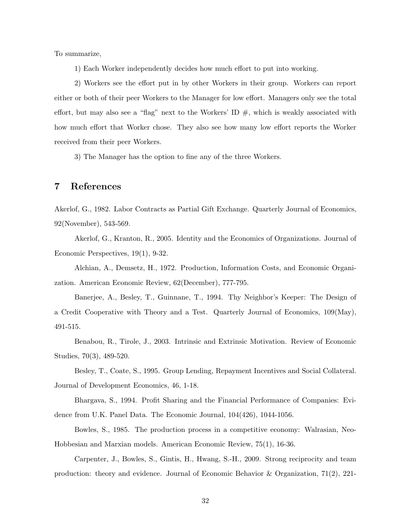To summarize,

1) Each Worker independently decides how much effort to put into working.

2) Workers see the effort put in by other Workers in their group. Workers can report either or both of their peer Workers to the Manager for low effort. Managers only see the total effort, but may also see a "flag" next to the Workers' ID  $\#$ , which is weakly associated with how much effort that Worker chose. They also see how many low effort reports the Worker received from their peer Workers.

3) The Manager has the option to fine any of the three Workers.

#### 7 References

Akerlof, G., 1982. Labor Contracts as Partial Gift Exchange. Quarterly Journal of Economics, 92(November), 543-569.

Akerlof, G., Kranton, R., 2005. Identity and the Economics of Organizations. Journal of Economic Perspectives, 19(1), 9-32.

Alchian, A., Demsetz, H., 1972. Production, Information Costs, and Economic Organization. American Economic Review, 62(December), 777-795.

Banerjee, A., Besley, T., Guinnane, T., 1994. Thy Neighbor's Keeper: The Design of a Credit Cooperative with Theory and a Test. Quarterly Journal of Economics, 109(May), 491-515.

Benabou, R., Tirole, J., 2003. Intrinsic and Extrinsic Motivation. Review of Economic Studies, 70(3), 489-520.

Besley, T., Coate, S., 1995. Group Lending, Repayment Incentives and Social Collateral. Journal of Development Economics, 46, 1-18.

Bhargava, S., 1994. Profit Sharing and the Financial Performance of Companies: Evidence from U.K. Panel Data. The Economic Journal, 104(426), 1044-1056.

Bowles, S., 1985. The production process in a competitive economy: Walrasian, Neo-Hobbesian and Marxian models. American Economic Review, 75(1), 16-36.

Carpenter, J., Bowles, S., Gintis, H., Hwang, S.-H., 2009. Strong reciprocity and team production: theory and evidence. Journal of Economic Behavior & Organization, 71(2), 221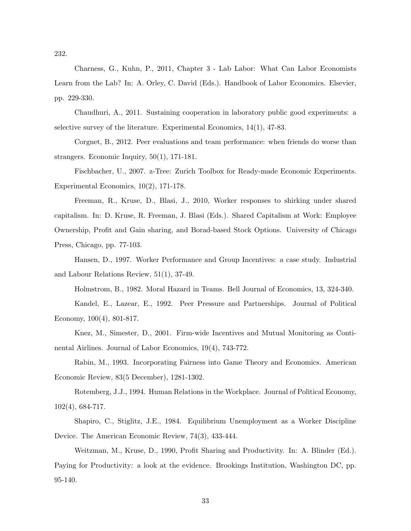232.

Charness, G., Kuhn, P., 2011, Chapter 3 - Lab Labor: What Can Labor Economists Learn from the Lab? In: A. Orley, C. David (Eds.). Handbook of Labor Economics. Elsevier, pp. 229-330.

Chaudhuri, A., 2011. Sustaining cooperation in laboratory public good experiments: a selective survey of the literature. Experimental Economics, 14(1), 47-83.

Corgnet, B., 2012. Peer evaluations and team performance: when friends do worse than strangers. Economic Inquiry, 50(1), 171-181.

Fischbacher, U., 2007. z-Tree: Zurich Toolbox for Ready-made Economic Experiments. Experimental Economics, 10(2), 171-178.

Freeman, R., Kruse, D., Blasi, J., 2010, Worker responses to shirking under shared capitalism. In: D. Kruse, R. Freeman, J. Blasi (Eds.). Shared Capitalism at Work: Employee Ownership, Profit and Gain sharing, and Borad-based Stock Options. University of Chicago Press, Chicago, pp. 77-103.

Hansen, D., 1997. Worker Performance and Group Incentives: a case study. Industrial and Labour Relations Review, 51(1), 37-49.

Holmstrom, B., 1982. Moral Hazard in Teams. Bell Journal of Economics, 13, 324-340.

Kandel, E., Lazear, E., 1992. Peer Pressure and Partnerships. Journal of Political Economy, 100(4), 801-817.

Knez, M., Simester, D., 2001. Firm-wide Incentives and Mutual Monitoring as Continental Airlines. Journal of Labor Economics, 19(4), 743-772.

Rabin, M., 1993. Incorporating Fairness into Game Theory and Economics. American Economic Review, 83(5 December), 1281-1302.

Rotemberg, J.J., 1994. Human Relations in the Workplace. Journal of Political Economy, 102(4), 684-717.

Shapiro, C., Stiglitz, J.E., 1984. Equilibrium Unemployment as a Worker Discipline Device. The American Economic Review, 74(3), 433-444.

Weitzman, M., Kruse, D., 1990, Profit Sharing and Productivity. In: A. Blinder (Ed.). Paying for Productivity: a look at the evidence. Brookings Institution, Washington DC, pp. 95-140.